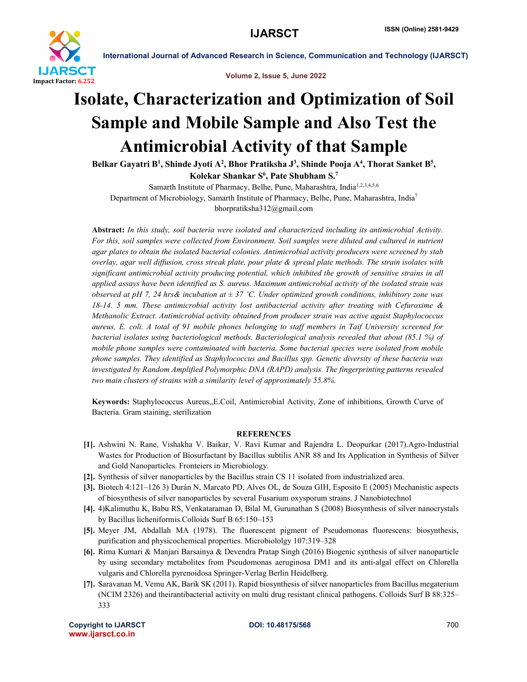

International Journal of Advanced Research in Science, Communication and Technology (IJARSCT)

Volume 2, Issue 5, June 2022

## Isolate, Characterization and Optimization of Soil Sample and Mobile Sample and Also Test the Antimicrobial Activity of that Sample

Belkar Gayatri B<sup>1</sup>, Shinde Jyoti A<sup>2</sup>, Bhor Pratiksha J<sup>3</sup>, Shinde Pooja A<sup>4</sup>, Thorat Sanket B<sup>5</sup>, Kolekar Shankar S<sup>6</sup>, Pate Shubham S.<sup>7</sup>

Samarth Institute of Pharmacy, Belhe, Pune, Maharashtra, India<sup>1,2,3,4,5,6</sup> Department of Microbiology, Samarth Institute of Pharmacy, Belhe, Pune, Maharashtra, India7 bhorpratiksha312@gmail.com

Abstract: *In this study, soil bacteria were isolated and characterized including its antimicrobial Activity. For this, soil samples were collected from Environment. Soil samples were diluted and cultured in nutrient agar plates to obtain the isolated bacterial colonies. Antimicrobial activity producers were screened by stab overlay, agar well diffusion, cross streak plate, pour plate & spread plate methods. The strain isolates with significant antimicrobial activity producing potential, which inhibited the growth of sensitive strains in all applied assays have been identified as S. aureus. Maximum antimicrobial activity of the isolated strain was observed at pH 7, 24 hrs& incubation at ± 37 ˚C. Under optimized growth conditions, inhibitory zone was 18-14. 5 mm. These antimicrobial activity lost antibacterial activity after treating with Cefuroxime & Methanolic Extract. Antimicrobial activity obtained from producer strain was active agaist Staphylococcus aureus, E. coli. A total of 91 mobile phones belonging to staff members in Taif University screened for bacterial isolates using bacteriological methods. Bacteriological analysis revealed that about (85.1 %) of mobile phone samples were contaminated with bacteria. Some bacterial species were isolated from mobile phone samples. They identified as Staphylococcus and Bacillus spp. Genetic diversity of these bacteria was investigated by Random Amplified Polymorphic DNA (RAPD) analysis. The fingerprinting patterns revealed two main clusters of strains with a similarity level of approximately 55.8%.*

Keywords: Staphylococcus Aureus,,E.Coil, Antimicrobial Activity, Zone of inhibitions, Growth Curve of Bacteria. Gram staining, sterilization

## **REFERENCES**

- [1]. Ashwini N. Rane, Vishakha V. Baikar, V. Ravi Kumar and Rajendra L. Deopurkar (2017).Agro-Industrial Wastes for Production of Biosurfactant by Bacillus subtilis ANR 88 and Its Application in Synthesis of Silver and Gold Nanoparticles. Fronteiers in Microbiology.
- [2]. Synthesis of silver nanoparticles by the Bacillus strain CS 11 isolated from industrialized area.
- [3]. Biotech 4:121–126 3) Durán N, Marcato PD, Alves OL, de Souza GIH, Esposito E (2005) Mechanistic aspects of biosynthesis of silver nanoparticles by several Fusarium oxysporum strains. J Nanobiotechnol
- [4]. 4)Kalimuthu K, Babu RS, Venkataraman D, Bilal M, Gurunathan S (2008) Biosynthesis of silver nanocrystals by Bacillus licheniformis.Colloids Surf B 65:150–153
- [5]. Meyer JM, Abdallah MA (1978). The fluorescent pigment of Pseudomonas fluorescens: biosynthesis, purification and physicochemical properties. Microbiololgy 107:319–328
- [6]. Rima Kumari & Manjari Barsainya & Devendra Pratap Singh (2016) Biogenic synthesis of silver nanoparticle by using secondary metabolites from Pseudomonas aeruginosa DM1 and its anti-algal effect on Chlorella vulgaris and Chlorella pyrenoidosa Springer-Verlag Berlin Heidelberg.
- [7]. Saravanan M, Vemu AK, Barik SK (2011). Rapid biosynthesis of silver nanoparticles from Bacillus megaterium (NCIM 2326) and theirantibacterial activity on multi drug resistant clinical pathogens. Colloids Surf B 88:325– 333